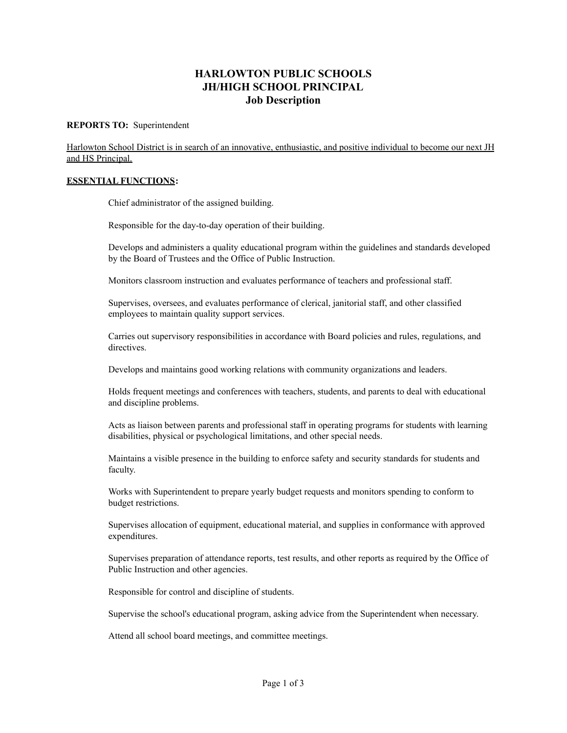# **HARLOWTON PUBLIC SCHOOLS JH/HIGH SCHOOL PRINCIPAL Job Description**

#### **REPORTS TO:** Superintendent

Harlowton School District is in search of an innovative, enthusiastic, and positive individual to become our next JH and HS Principal.

#### **ESSENTIAL FUNCTIONS:**

Chief administrator of the assigned building.

Responsible for the day-to-day operation of their building.

Develops and administers a quality educational program within the guidelines and standards developed by the Board of Trustees and the Office of Public Instruction.

Monitors classroom instruction and evaluates performance of teachers and professional staff.

Supervises, oversees, and evaluates performance of clerical, janitorial staff, and other classified employees to maintain quality support services.

Carries out supervisory responsibilities in accordance with Board policies and rules, regulations, and directives.

Develops and maintains good working relations with community organizations and leaders.

Holds frequent meetings and conferences with teachers, students, and parents to deal with educational and discipline problems.

Acts as liaison between parents and professional staff in operating programs for students with learning disabilities, physical or psychological limitations, and other special needs.

Maintains a visible presence in the building to enforce safety and security standards for students and faculty.

Works with Superintendent to prepare yearly budget requests and monitors spending to conform to budget restrictions.

Supervises allocation of equipment, educational material, and supplies in conformance with approved expenditures.

Supervises preparation of attendance reports, test results, and other reports as required by the Office of Public Instruction and other agencies.

Responsible for control and discipline of students.

Supervise the school's educational program, asking advice from the Superintendent when necessary.

Attend all school board meetings, and committee meetings.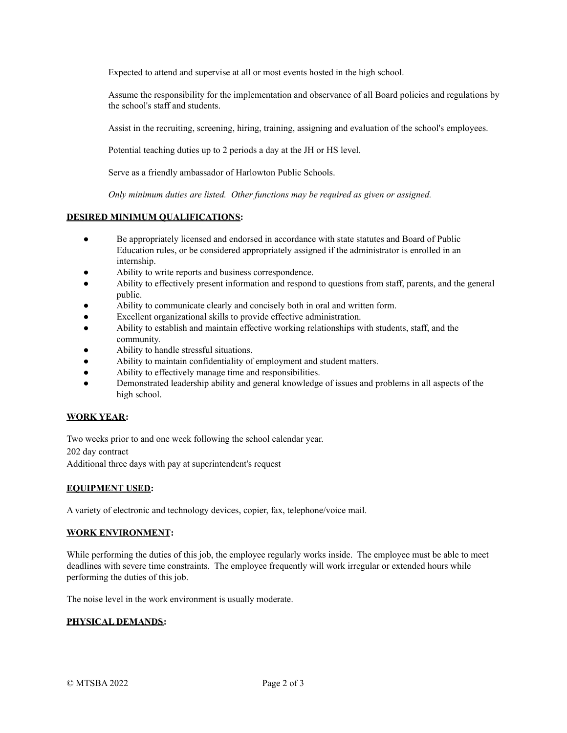Expected to attend and supervise at all or most events hosted in the high school.

Assume the responsibility for the implementation and observance of all Board policies and regulations by the school's staff and students.

Assist in the recruiting, screening, hiring, training, assigning and evaluation of the school's employees.

Potential teaching duties up to 2 periods a day at the JH or HS level.

Serve as a friendly ambassador of Harlowton Public Schools.

*Only minimum duties are listed. Other functions may be required as given or assigned.*

# **DESIRED MINIMUM QUALIFICATIONS:**

- Be appropriately licensed and endorsed in accordance with state statutes and Board of Public Education rules, or be considered appropriately assigned if the administrator is enrolled in an internship.
- Ability to write reports and business correspondence.
- Ability to effectively present information and respond to questions from staff, parents, and the general public.
- Ability to communicate clearly and concisely both in oral and written form.
- Excellent organizational skills to provide effective administration.
- Ability to establish and maintain effective working relationships with students, staff, and the community.
- Ability to handle stressful situations.
- Ability to maintain confidentiality of employment and student matters.
- Ability to effectively manage time and responsibilities.
- Demonstrated leadership ability and general knowledge of issues and problems in all aspects of the high school.

## **WORK YEAR:**

Two weeks prior to and one week following the school calendar year. 202 day contract Additional three days with pay at superintendent's request

## **EQUIPMENT USED:**

A variety of electronic and technology devices, copier, fax, telephone/voice mail.

## **WORK ENVIRONMENT:**

While performing the duties of this job, the employee regularly works inside. The employee must be able to meet deadlines with severe time constraints. The employee frequently will work irregular or extended hours while performing the duties of this job.

The noise level in the work environment is usually moderate.

# **PHYSICAL DEMANDS:**